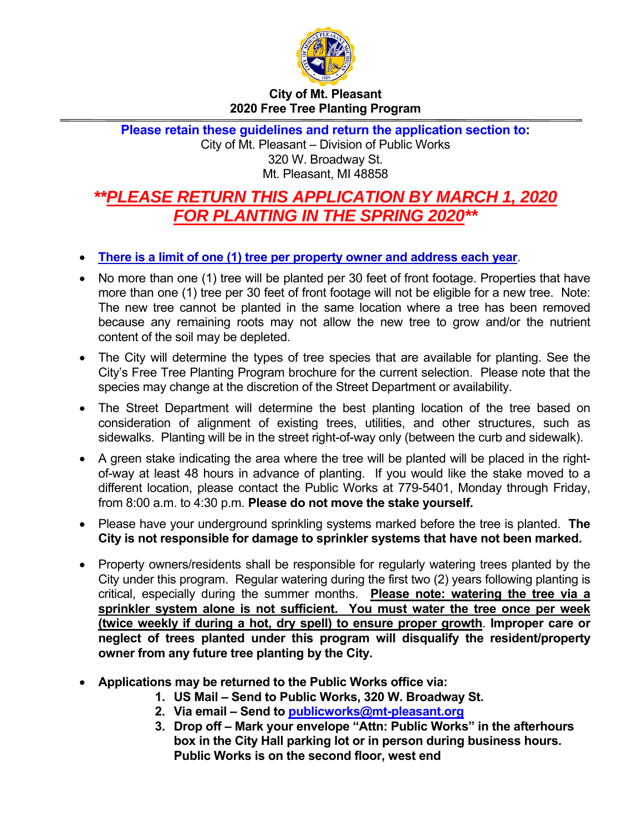

## **City of Mt. Pleasant 2020 Free Tree Planting Program**

**Please retain these guidelines and return the application section to:**  City of Mt. Pleasant – Division of Public Works 320 W. Broadway St. Mt. Pleasant, MI 48858

## *\*\*PLEASE RETURN THIS APPLICATION BY MARCH 1, 2020 FOR PLANTING IN THE SPRING 2020\*\**

- **There is a limit of one (1) tree per property owner and address each year**.
- No more than one (1) tree will be planted per 30 feet of front footage. Properties that have more than one (1) tree per 30 feet of front footage will not be eligible for a new tree. Note: The new tree cannot be planted in the same location where a tree has been removed because any remaining roots may not allow the new tree to grow and/or the nutrient content of the soil may be depleted.
- The City will determine the types of tree species that are available for planting. See the City's Free Tree Planting Program brochure for the current selection. Please note that the species may change at the discretion of the Street Department or availability.
- The Street Department will determine the best planting location of the tree based on consideration of alignment of existing trees, utilities, and other structures, such as sidewalks. Planting will be in the street right-of-way only (between the curb and sidewalk).
- A green stake indicating the area where the tree will be planted will be placed in the rightof-way at least 48 hours in advance of planting. If you would like the stake moved to a different location, please contact the Public Works at 779-5401, Monday through Friday, from 8:00 a.m. to 4:30 p.m. **Please do not move the stake yourself.**
- Please have your underground sprinkling systems marked before the tree is planted. **The City is not responsible for damage to sprinkler systems that have not been marked.**
- Property owners/residents shall be responsible for regularly watering trees planted by the City under this program. Regular watering during the first two (2) years following planting is critical, especially during the summer months. **Please note: watering the tree via a sprinkler system alone is not sufficient. You must water the tree once per week (twice weekly if during a hot, dry spell) to ensure proper growth**. **Improper care or neglect of trees planted under this program will disqualify the resident/property owner from any future tree planting by the City.**
- **Applications may be returned to the Public Works office via:** 
	- **1. US Mail Send to Public Works, 320 W. Broadway St.**
	- **2. Via email Send to publicworks@mt-pleasant.org**
	- **3. Drop off Mark your envelope "Attn: Public Works" in the afterhours box in the City Hall parking lot or in person during business hours. Public Works is on the second floor, west end**